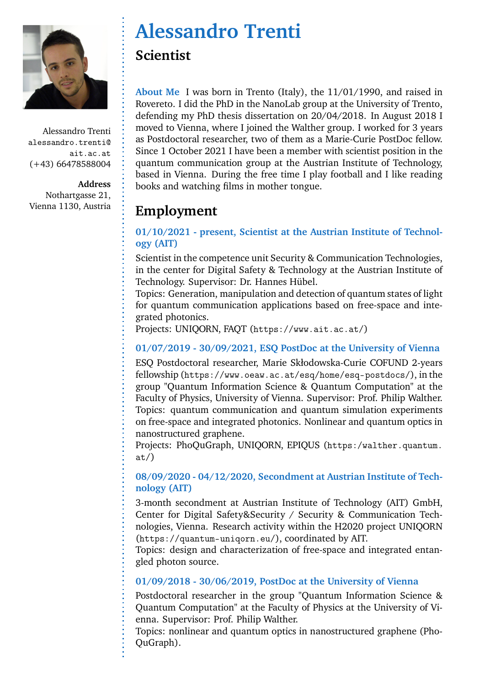

**Address** Nothartgasse 21, Vienna 1130, Austria

# **Alessandro Trenti Scientist**

**About Me** I was born in Trento (Italy), the 11/01/1990, and raised in Rovereto. I did the PhD in the NanoLab group at the University of Trento, defending my PhD thesis dissertation on 20/04/2018. In August 2018 I moved to Vienna, where I joined the Walther group. I worked for 3 years as Postdoctoral researcher, two of them as a Marie-Curie PostDoc fellow. Since 1 October 2021 I have been a member with scientist position in the quantum communication group at the Austrian Institute of Technology, based in Vienna. During the free time I play football and I like reading books and watching films in mother tongue.

# **Employment**

### **01/10/2021 - present, Scientist at the Austrian Institute of Technology (AIT)**

Scientist in the competence unit Security & Communication Technologies, in the center for Digital Safety & Technology at the Austrian Institute of Technology. Supervisor: Dr. Hannes Hübel.

Topics: Generation, manipulation and detection of quantum states of light for quantum communication applications based on free-space and integrated photonics.

Projects: UNIQORN, FAQT (https://www.ait.ac.at/)

### **01/07/2019 - 30/09/2021, ESQ PostDoc at the University of Vienna**

ESQ Postdoctoral researcher, Marie Skłodowska-Curie COFUND 2-years fellowship (https://www.oeaw.ac.at/esq/home/esq-postdocs/), in the group "Quantum Information Science & Quantum Computation" at the Faculty of Physics, University of Vienna. Supervisor: Prof. Philip Walther. Topics: quantum communication and quantum simulation experiments on free-space and integrated photonics. Nonlinear and quantum optics in nanostructured graphene.

Projects: PhoQuGraph, UNIQORN, EPIQUS (https:/walther.quantum. at/)

#### **08/09/2020 - 04/12/2020, Secondment at Austrian Institute of Technology (AIT)**

3-month secondment at Austrian Institute of Technology (AIT) GmbH, Center for Digital Safety&Security / Security & Communication Technologies, Vienna. Research activity within the H2020 project UNIQORN (https://quantum-uniqorn.eu/), coordinated by AIT.

Topics: design and characterization of free-space and integrated entangled photon source.

### **01/09/2018 - 30/06/2019, PostDoc at the University of Vienna**

Postdoctoral researcher in the group "Quantum Information Science & Quantum Computation" at the Faculty of Physics at the University of Vienna. Supervisor: Prof. Philip Walther.

Topics: nonlinear and quantum optics in nanostructured graphene (Pho-QuGraph).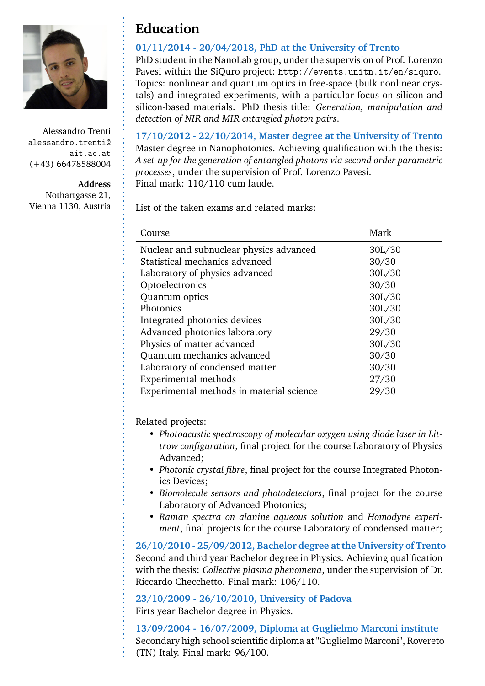

**Address**

Nothartgasse 21, Vienna 1130, Austria

### **Education**

#### **01/11/2014 - 20/04/2018, PhD at the University of Trento**

PhD student in the NanoLab group, under the supervision of Prof. Lorenzo Pavesi within the SiQuro project: http://events.unitn.it/en/siquro. Topics: nonlinear and quantum optics in free-space (bulk nonlinear crystals) and integrated experiments, with a particular focus on silicon and silicon-based materials. PhD thesis title: *Generation, manipulation and detection of NIR and MIR entangled photon pairs*.

**17/10/2012 - 22/10/2014, Master degree at the University of Trento** Master degree in Nanophotonics. Achieving qualification with the thesis: *A set-up for the generation of entangled photons via second order parametric processes*, under the supervision of Prof. Lorenzo Pavesi. Final mark: 110/110 cum laude.

List of the taken exams and related marks:

| Course                                   | Mark   |
|------------------------------------------|--------|
| Nuclear and subnuclear physics advanced  | 30L/30 |
| Statistical mechanics advanced           | 30/30  |
| Laboratory of physics advanced           | 30L/30 |
| Optoelectronics                          | 30/30  |
| Quantum optics                           | 30L/30 |
| Photonics                                | 30L/30 |
| Integrated photonics devices             | 30L/30 |
| Advanced photonics laboratory            | 29/30  |
| Physics of matter advanced               | 30L/30 |
| Quantum mechanics advanced               | 30/30  |
| Laboratory of condensed matter           | 30/30  |
| Experimental methods                     | 27/30  |
| Experimental methods in material science | 29/30  |

Related projects:

- *Photoacustic spectroscopy of molecular oxygen using diode laser in Littrow configuration*, final project for the course Laboratory of Physics Advanced;
- *Photonic crystal fibre*, final project for the course Integrated Photonics Devices;
- *Biomolecule sensors and photodetectors*, final project for the course Laboratory of Advanced Photonics;
- *Raman spectra on alanine aqueous solution* and *Homodyne experiment*, final projects for the course Laboratory of condensed matter;

**26/10/2010 - 25/09/2012, Bachelor degree at the University of Trento** Second and third year Bachelor degree in Physics. Achieving qualification with the thesis: *Collective plasma phenomena*, under the supervision of Dr. Riccardo Checchetto. Final mark: 106/110.

**23/10/2009 - 26/10/2010, University of Padova** Firts year Bachelor degree in Physics.

**13/09/2004 - 16/07/2009, Diploma at Guglielmo Marconi institute** Secondary high school scientific diploma at "Guglielmo Marconi", Rovereto (TN) Italy. Final mark: 96/100.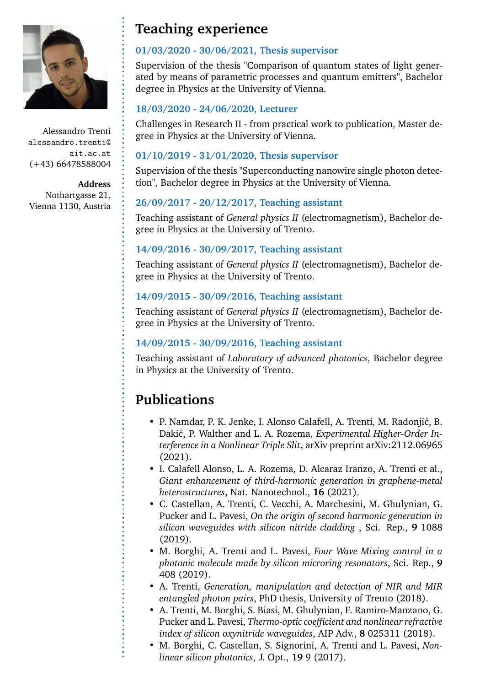

**Address** Nothartgasse 21, Vienna 1130, Austria

## **Teaching experience**

#### **01/03/2020 - 30/06/2021, Thesis supervisor**

Supervision of the thesis "Comparison of quantum states of light generated by means of parametric processes and quantum emitters", Bachelor degree in Physics at the University of Vienna.

#### **18/03/2020 - 24/06/2020, Lecturer**

Challenges in Research II - from practical work to publication, Master degree in Physics at the University of Vienna.

#### **01/10/2019 - 31/01/2020, Thesis supervisor**

Supervision of the thesis "Superconducting nanowire single photon detection", Bachelor degree in Physics at the University of Vienna.

### **26/09/2017 - 20/12/2017, Teaching assistant**

Teaching assistant of *General physics II* (electromagnetism), Bachelor degree in Physics at the University of Trento.

#### **14/09/2016 - 30/09/2017, Teaching assistant**

Teaching assistant of *General physics II* (electromagnetism), Bachelor degree in Physics at the University of Trento.

### **14/09/2015 - 30/09/2016, Teaching assistant**

Teaching assistant of *General physics II* (electromagnetism), Bachelor degree in Physics at the University of Trento.

#### **14/09/2015 - 30/09/2016, Teaching assistant**

Teaching assistant of *Laboratory of advanced photonics*, Bachelor degree in Physics at the University of Trento.

# **Publications**

- P. Namdar, P. K. Jenke, I. Alonso Calafell, A. Trenti, M. Radonjić, B. Dakić, P. Walther and L. A. Rozema, *Experimental Higher-Order Interference in a Nonlinear Triple Slit*, arXiv preprint arXiv:2112.06965 (2021).
- I. Calafell Alonso, L. A. Rozema, D. Alcaraz Iranzo, A. Trenti et al., *Giant enhancement of third-harmonic generation in graphene-metal heterostructures*, Nat. Nanotechnol., **16** (2021).
- C. Castellan, A. Trenti, C. Vecchi, A. Marchesini, M. Ghulynian, G. Pucker and L. Pavesi, *On the origin of second harmonic generation in silicon waveguides with silicon nitride cladding* , Sci. Rep., **9** 1088 (2019).
- M. Borghi, A. Trenti and L. Pavesi, *Four Wave Mixing control in a photonic molecule made by silicon microring resonators*, Sci. Rep., **9** 408 (2019).
- A. Trenti, *Generation, manipulation and detection of NIR and MIR entangled photon pairs*, PhD thesis, University of Trento (2018).
- A. Trenti, M. Borghi, S. Biasi, M. Ghulynian, F. Ramiro-Manzano, G. Pucker and L. Pavesi, *Thermo-optic coefficient and nonlinear refractive index of silicon oxynitride waveguides*, AIP Adv., **8** 025311 (2018).
- M. Borghi, C. Castellan, S. Signorini, A. Trenti and L. Pavesi, *Nonlinear silicon photonics*, J. Opt., **19** 9 (2017).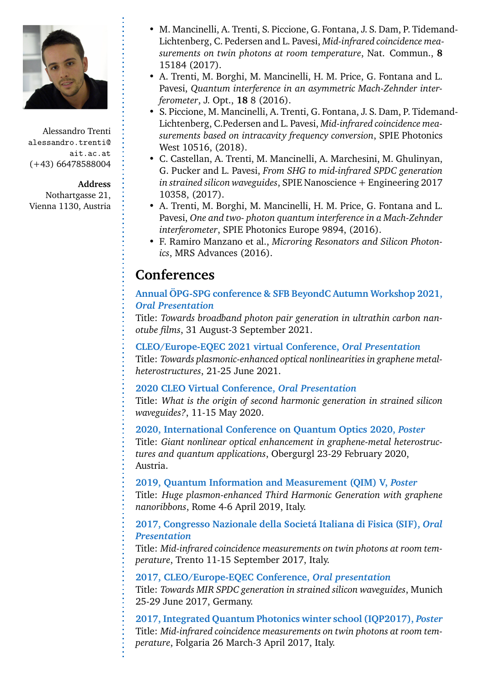

#### **Address**

Nothartgasse 21, Vienna 1130, Austria

- M. Mancinelli, A. Trenti, S. Piccione, G. Fontana, J. S. Dam, P. Tidemand-Lichtenberg, C. Pedersen and L. Pavesi, *Mid-infrared coincidence measurements on twin photons at room temperature*, Nat. Commun., **8** 15184 (2017).
- A. Trenti, M. Borghi, M. Mancinelli, H. M. Price, G. Fontana and L. Pavesi, *Quantum interference in an asymmetric Mach-Zehnder interferometer*, J. Opt., **18** 8 (2016).
- S. Piccione, M. Mancinelli, A. Trenti, G. Fontana, J. S. Dam, P. Tidemand-Lichtenberg, C.Pedersen and L. Pavesi, *Mid-infrared coincidence measurements based on intracavity frequency conversion*, SPIE Photonics West 10516, (2018).
- C. Castellan, A. Trenti, M. Mancinelli, A. Marchesini, M. Ghulinyan, G. Pucker and L. Pavesi, *From SHG to mid-infrared SPDC generation in strained silicon waveguides*, SPIE Nanoscience + Engineering 2017 10358, (2017).
- A. Trenti, M. Borghi, M. Mancinelli, H. M. Price, G. Fontana and L. Pavesi, *One and two- photon quantum interference in a Mach-Zehnder interferometer*, SPIE Photonics Europe 9894, (2016).
- F. Ramiro Manzano et al., *Microring Resonators and Silicon Photonics*, MRS Advances (2016).

### **Conferences**

#### **Annual ÖPG-SPG conference & SFB BeyondC Autumn Workshop 2021,** *Oral Presentation*

Title: *Towards broadband photon pair generation in ultrathin carbon nanotube films*, 31 August-3 September 2021.

#### **CLEO/Europe-EQEC 2021 virtual Conference,** *Oral Presentation*

Title: *Towards plasmonic-enhanced optical nonlinearities in graphene metalheterostructures*, 21-25 June 2021.

#### **2020 CLEO Virtual Conference,** *Oral Presentation*

Title: *What is the origin of second harmonic generation in strained silicon waveguides?*, 11-15 May 2020.

#### **2020, International Conference on Quantum Optics 2020,** *Poster*

Title: *Giant nonlinear optical enhancement in graphene-metal heterostructures and quantum applications*, Obergurgl 23-29 February 2020, Austria.

#### **2019, Quantum Information and Measurement (QIM) V,** *Poster*

Title: *Huge plasmon-enhanced Third Harmonic Generation with graphene nanoribbons*, Rome 4-6 April 2019, Italy.

#### **2017, Congresso Nazionale della Societá Italiana di Fisica (SIF),** *Oral Presentation*

Title: *Mid-infrared coincidence measurements on twin photons at room temperature*, Trento 11-15 September 2017, Italy.

#### **2017, CLEO/Europe-EQEC Conference,** *Oral presentation*

Title: *Towards MIR SPDC generation in strained silicon waveguides*, Munich 25-29 June 2017, Germany.

**2017, Integrated Quantum Photonics winter school (IQP2017),** *Poster* Title: *Mid-infrared coincidence measurements on twin photons at room temperature*, Folgaria 26 March-3 April 2017, Italy.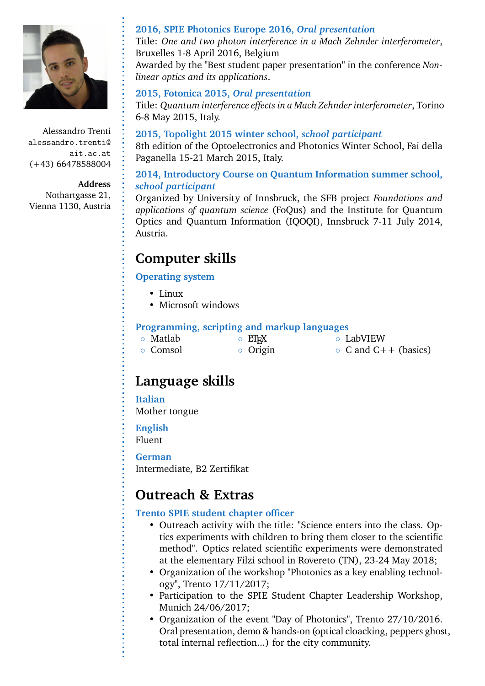

#### **Address**

Nothartgasse 21, Vienna 1130, Austria

#### **2016, SPIE Photonics Europe 2016,** *Oral presentation*

Title: *One and two photon interference in a Mach Zehnder interferometer*, Bruxelles 1-8 April 2016, Belgium

Awarded by the "Best student paper presentation" in the conference *Nonlinear optics and its applications*.

#### **2015, Fotonica 2015,** *Oral presentation*

Title: *Quantum interference effects in a Mach Zehnder interferometer*, Torino 6-8 May 2015, Italy.

**2015, Topolight 2015 winter school,** *school participant* 8th edition of the Optoelectronics and Photonics Winter School, Fai della Paganella 15-21 March 2015, Italy.

#### **2014, Introductory Course on Quantum Information summer school,** *school participant*

Organized by University of Innsbruck, the SFB project *Foundations and applications of quantum science* (FoQus) and the Institute for Quantum Optics and Quantum Information (IQOQI), Innsbruck 7-11 July 2014, Austria.

### **Computer skills**

#### **Operating system**

- Linux
- Microsoft windows

#### **Programming, scripting and markup languages**

| ○ Matlab | $\circ$ ET <sub>F</sub> X | <b>O</b> LabVIEW           |
|----------|---------------------------|----------------------------|
| ○ Comsol | $\circ$ Origin            | $\circ$ C and C++ (basics) |

### **Language skills**

#### **Italian**

Mother tongue

**English**

Fluent

#### **German**

Intermediate, B2 Zertifikat

### **Outreach & Extras**

#### **Trento SPIE student chapter officer**

- Outreach activity with the title: "Science enters into the class. Optics experiments with children to bring them closer to the scientific method". Optics related scientific experiments were demonstrated at the elementary Filzi school in Rovereto (TN), 23-24 May 2018;
- Organization of the workshop "Photonics as a key enabling technology", Trento 17/11/2017;
- Participation to the SPIE Student Chapter Leadership Workshop, Munich 24/06/2017;
- Organization of the event "Day of Photonics", Trento 27/10/2016. Oral presentation, demo & hands-on (optical cloacking, peppers ghost, total internal reflection...) for the city community.